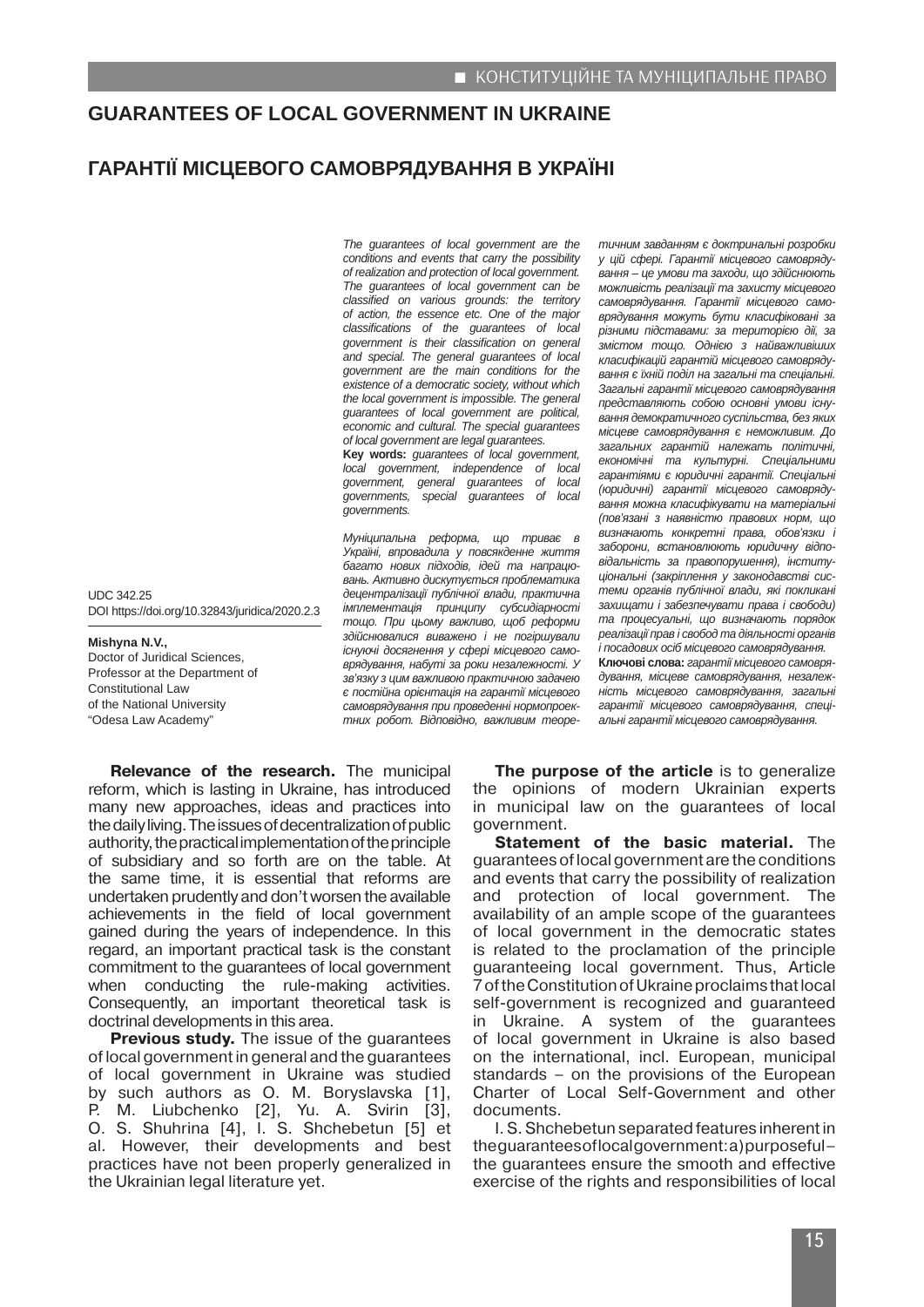## **GUARANTEES OF LOCAL GOVERNMENT IN UKRAINE**

## **ГАРАНТІЇ МІСЦЕВОГО САМОВРЯДУВАННЯ В УКРАЇНІ**

*The guarantees of local government are the conditions and events that carry the possibility of realization and protection of local government. The guarantees of local government can be classified on various grounds: the territory of action, the essence etc. One of the major classifications of the guarantees of local government is their classification on general and special. The general guarantees of local government are the main conditions for the existence of a democratic society, without which the local government is impossible. The general guarantees of local government are political, economic and cultural. The special guarantees of local government are legal guarantees.*

**Key words:** *guarantees of local government, local government, independence of local government, general guarantees of local governments, special guarantees of local governments.*

*Муніципальна реформа, що триває в Україні, впровадила у повсякденне життя багато нових підходів, ідей та напрацювань. Активно дискутується проблематика децентралізації публічної влади, практична імплементація принципу субсидіарності тощо. При цьому важливо, щоб реформи здійснювалися виважено і не погіршували існуючі досягнення у сфері місцевого самоврядування, набуті за роки незалежності. У зв'язку з цим важливою практичною задачею є постійна орієнтація на гарантії місцевого самоврядування при проведенні нормопроектних робот. Відповідно, важливим теоре-* *тичним завданням є доктринальні розробки у цій сфері. Гарантії місцевого самоврядування – це умови та заходи, що здійснюють можливість реалізації та захисту місцевого самоврядування. Гарантії місцевого самоврядування можуть бути класифіковані за різними підставами: за територією дії, за змістом тощо. Однією з найважливіших класифікацій гарантій місцевого самоврядування є їхній поділ на загальні та спеціальні. Загальні гарантії місцевого самоврядування представляють собою основні умови існування демократичного суспільства, без яких місцеве самоврядування є неможливим. До загальних гарантій належать політичні, економічні та культурні. Спеціальними гарантіями є юридичні гарантії. Спеціальні (юридичні) гарантії місцевого самоврядування можна класифікувати на матеріальні (пов'язані з наявністю правових норм, що визначають конкретні права, обов'язки і заборони, встановлюють юридичну відповідальність за правопорушення), інституціональні (закріплення у законодавстві системи органів публічної влади, які покликані захищати і забезпечувати права і свободи) та процесуальні, що визначають порядок реалізації прав і свобод та діяльності органів і посадових осіб місцевого самоврядування.* **Ключові слова:** *гарантії місцевого самоврядування, місцеве самоврядування, незалежність місцевого самоврядування, загальні гарантії місцевого самоврядування, спеціальні гарантії місцевого самоврядування.* 

**Relevance of the research.** The municipal reform, which is lasting in Ukraine, has introduced many new approaches, ideas and practices into the daily living. The issues of decentralization of public authority, the practical implementation of the principle of subsidiary and so forth are on the table. At the same time, it is essential that reforms are undertaken prudently and don't worsen the available achievements in the field of local government gained during the years of independence. In this regard, an important practical task is the constant commitment to the guarantees of local government when conducting the rule-making activities. Consequently, an important theoretical task is doctrinal developments in this area.

UDC 342.25

**Mishyna N.V.,**

Constitutional Law of the National University "Odesa Law Academy"

Doctor of Juridical Sciences, Professor at the Department of

DOI https://doi.org/10.32843/juridica/2020.2.3

**Previous study.** The issue of the guarantees of local government in general and the guarantees of local government in Ukraine was studied by such authors as O. M. Boryslavska [1], P. M. Liubchenko [2], Yu. A. Svirin [3], O. S. Shuhrina [4], I. S. Shchebetun [5] et al. However, their developments and best practices have not been properly generalized in the Ukrainian legal literature yet.

**The purpose of the article** is to generalize the opinions of modern Ukrainian experts in municipal law on the guarantees of local government.

**Statement of the basic material.** The guarantees of local government are the conditions and events that carry the possibility of realization and protection of local government. The availability of an ample scope of the guarantees of local government in the democratic states is related to the proclamation of the principle guaranteeing local government. Thus, Article 7 of the Constitution of Ukraine proclaims that local self-government is recognized and guaranteed in Ukraine. A system of the guarantees of local government in Ukraine is also based on the international, incl. European, municipal standards – on the provisions of the European Charter of Local Self-Government and other documents.

I. S. Shchebetun separated features inherent in the guarantees of local government: a) purposeful – the guarantees ensure the smooth and effective exercise of the rights and responsibilities of local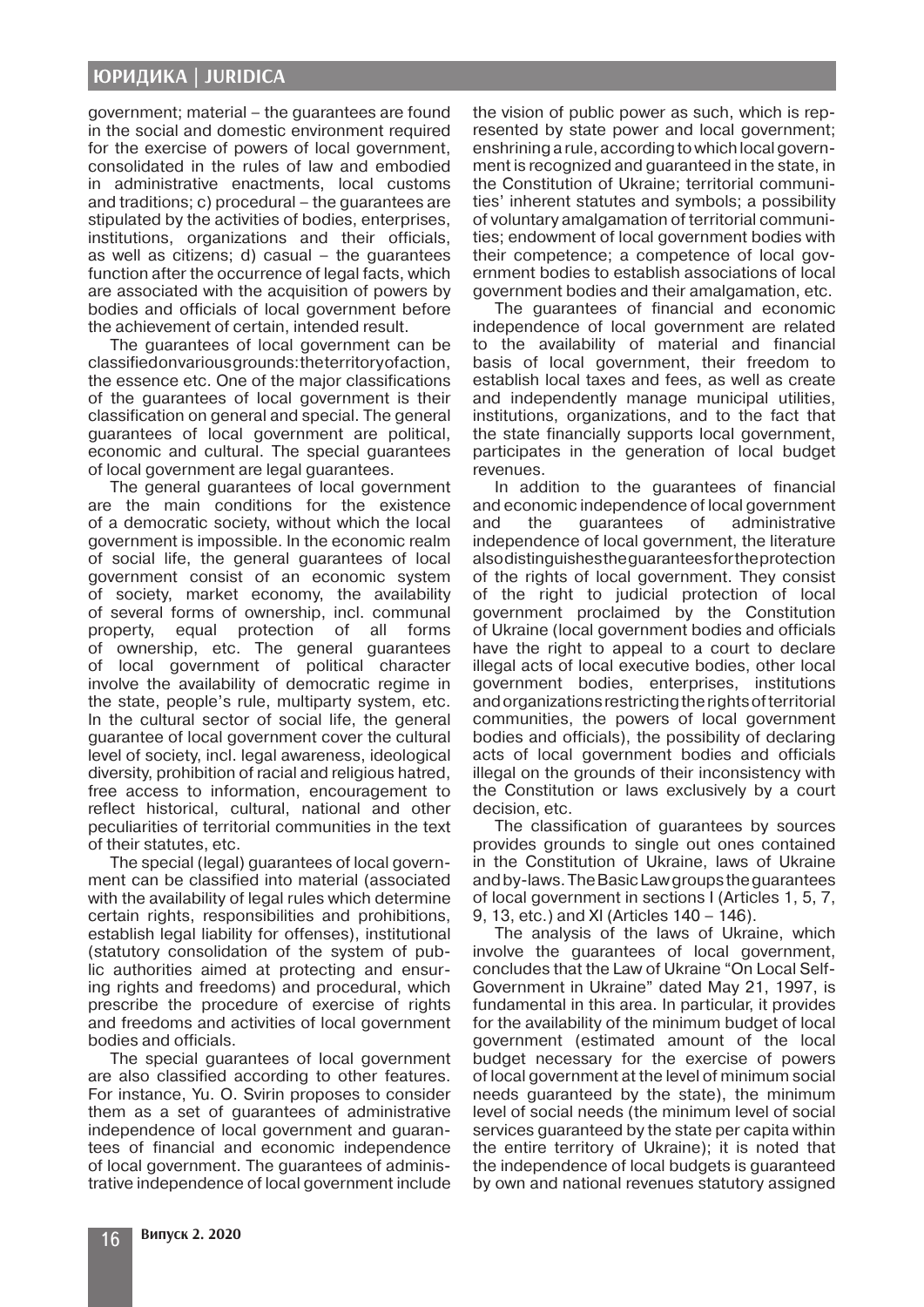government; material – the guarantees are found in the social and domestic environment required for the exercise of powers of local government, consolidated in the rules of law and embodied in administrative enactments, local customs and traditions; c) procedural – the guarantees are stipulated by the activities of bodies, enterprises, institutions, organizations and their officials, as well as citizens; d) casual  $-$  the guarantees function after the occurrence of legal facts, which are associated with the acquisition of powers by bodies and officials of local government before the achievement of certain, intended result.

The guarantees of local government can be classified on various grounds: the territory of action, the essence etc. One of the major classifications of the guarantees of local government is their classification on general and special. The general guarantees of local government are political, economic and cultural. The special guarantees of local government are legal guarantees.

The general guarantees of local government are the main conditions for the existence of a democratic society, without which the local government is impossible. In the economic realm of social life, the general guarantees of local government consist of an economic system of society, market economy, the availability of several forms of ownership, incl. communal property, equal protection of all forms of ownership, etc. The general guarantees of local government of political character involve the availability of democratic regime in the state, people's rule, multiparty system, etc. In the cultural sector of social life, the general guarantee of local government cover the cultural level of society, incl. legal awareness, ideological diversity, prohibition of racial and religious hatred, free access to information, encouragement to reflect historical, cultural, national and other peculiarities of territorial communities in the text of their statutes, etc.

The special (legal) guarantees of local government can be classified into material (associated with the availability of legal rules which determine certain rights, responsibilities and prohibitions, establish legal liability for offenses), institutional (statutory consolidation of the system of public authorities aimed at protecting and ensuring rights and freedoms) and procedural, which prescribe the procedure of exercise of rights and freedoms and activities of local government bodies and officials.

The special guarantees of local government are also classified according to other features. For instance, Yu. O. Svirin proposes to consider them as a set of guarantees of administrative independence of local government and guarantees of financial and economic independence of local government. The guarantees of administrative independence of local government include the vision of public power as such, which is represented by state power and local government; enshrining a rule, according to which local government is recognized and guaranteed in the state, in the Constitution of Ukraine; territorial communities' inherent statutes and symbols; a possibility of voluntary amalgamation of territorial communities; endowment of local government bodies with their competence; a competence of local government bodies to establish associations of local government bodies and their amalgamation, etc.

The guarantees of financial and economic independence of local government are related to the availability of material and financial basis of local government, their freedom to establish local taxes and fees, as well as create and independently manage municipal utilities, institutions, organizations, and to the fact that the state financially supports local government, participates in the generation of local budget revenues.

In addition to the guarantees of financial and economic independence of local government and the guarantees of administrative independence of local government, the literature also distinguishes the guarantees for the protection of the rights of local government. They consist of the right to judicial protection of local government proclaimed by the Constitution of Ukraine (local government bodies and officials have the right to appeal to a court to declare illegal acts of local executive bodies, other local government bodies, enterprises, institutions and organizations restricting the rights of territorial communities, the powers of local government bodies and officials), the possibility of declaring acts of local government bodies and officials illegal on the grounds of their inconsistency with the Constitution or laws exclusively by a court decision, etc.

The classification of guarantees by sources provides grounds to single out ones contained in the Constitution of Ukraine, laws of Ukraine and by-laws. The Basic Law groups the guarantees of local government in sections I (Articles 1, 5, 7, 9, 13, etc.) and XI (Articles 140 – 146).

The analysis of the laws of Ukraine, which involve the guarantees of local government, concludes that the Law of Ukraine "On Local Self-Government in Ukraine" dated May 21, 1997, is fundamental in this area. In particular, it provides for the availability of the minimum budget of local government (estimated amount of the local budget necessary for the exercise of powers of local government at the level of minimum social needs guaranteed by the state), the minimum level of social needs (the minimum level of social services guaranteed by the state per capita within the entire territory of Ukraine); it is noted that the independence of local budgets is guaranteed by own and national revenues statutory assigned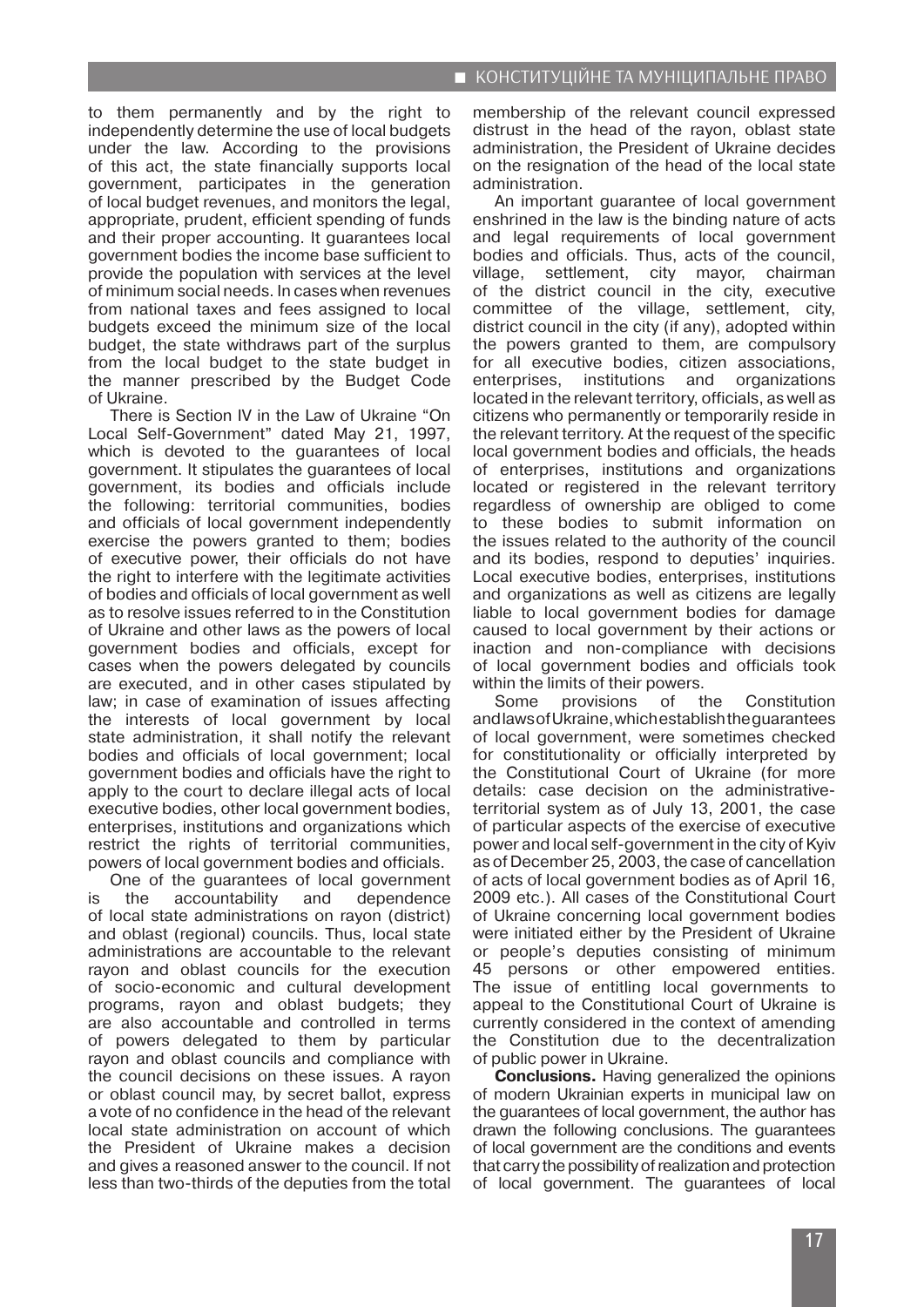to them permanently and by the right to independently determine the use of local budgets under the law. According to the provisions of this act, the state financially supports local government, participates in the generation of local budget revenues, and monitors the legal, appropriate, prudent, efficient spending of funds and their proper accounting. It guarantees local government bodies the income base sufficient to provide the population with services at the level of minimum social needs. In cases when revenues from national taxes and fees assigned to local budgets exceed the minimum size of the local budget, the state withdraws part of the surplus from the local budget to the state budget in the manner prescribed by the Budget Code of Ukraine.

There is Section IV in the Law of Ukraine "On Local Self-Government" dated May 21, 1997, which is devoted to the guarantees of local government. It stipulates the guarantees of local government, its bodies and officials include the following: territorial communities, bodies and officials of local government independently exercise the powers granted to them; bodies of executive power, their officials do not have the right to interfere with the legitimate activities of bodies and officials of local government as well as to resolve issues referred to in the Constitution of Ukraine and other laws as the powers of local government bodies and officials, except for cases when the powers delegated by councils are executed, and in other cases stipulated by law; in case of examination of issues affecting the interests of local government by local state administration, it shall notify the relevant bodies and officials of local government; local government bodies and officials have the right to apply to the court to declare illegal acts of local executive bodies, other local government bodies, enterprises, institutions and organizations which restrict the rights of territorial communities, powers of local government bodies and officials.

One of the guarantees of local government is the accountability and dependence of local state administrations on rayon (district) and oblast (regional) councils. Thus, local state administrations are accountable to the relevant rayon and oblast councils for the execution of socio-economic and cultural development programs, rayon and oblast budgets; they are also accountable and controlled in terms of powers delegated to them by particular rayon and oblast councils and compliance with the council decisions on these issues. A rayon or oblast council may, by secret ballot, express a vote of no confidence in the head of the relevant local state administration on account of which the President of Ukraine makes a decision and gives a reasoned answer to the council. If not less than two-thirds of the deputies from the total

membership of the relevant council expressed distrust in the head of the rayon, oblast state administration, the President of Ukraine decides on the resignation of the head of the local state administration.

An important guarantee of local government enshrined in the law is the binding nature of acts and legal requirements of local government bodies and officials. Thus, acts of the council, village, settlement, city mayor, chairman of the district council in the city, executive committee of the village, settlement, city, district council in the city (if any), adopted within the powers granted to them, are compulsory for all executive bodies, citizen associations,<br>enterprises, institutions and organizations enterprises, institutions and organizations located in the relevant territory, officials, as well as citizens who permanently or temporarily reside in the relevant territory. At the request of the specific local government bodies and officials, the heads of enterprises, institutions and organizations located or registered in the relevant territory regardless of ownership are obliged to come to these bodies to submit information on the issues related to the authority of the council and its bodies, respond to deputies' inquiries. Local executive bodies, enterprises, institutions and organizations as well as citizens are legally liable to local government bodies for damage caused to local government by their actions or inaction and non-compliance with decisions of local government bodies and officials took within the limits of their powers.

Some provisions of the Constitution and laws of Ukraine, which establish the guarantees of local government, were sometimes checked for constitutionality or officially interpreted by the Constitutional Court of Ukraine (for more details: case decision on the administrativeterritorial system as of July 13, 2001, the case of particular aspects of the exercise of executive power and local self-government in the city of Kyiv as of December 25, 2003, the case of cancellation of acts of local government bodies as of April 16, 2009 etc.). All cases of the Constitutional Court of Ukraine concerning local government bodies were initiated either by the President of Ukraine or people's deputies consisting of minimum 45 persons or other empowered entities. The issue of entitling local governments to appeal to the Constitutional Court of Ukraine is currently considered in the context of amending the Constitution due to the decentralization of public power in Ukraine.

**Conclusions.** Having generalized the opinions of modern Ukrainian experts in municipal law on the guarantees of local government, the author has drawn the following conclusions. The guarantees of local government are the conditions and events that carry the possibility of realization and protection of local government. The guarantees of local